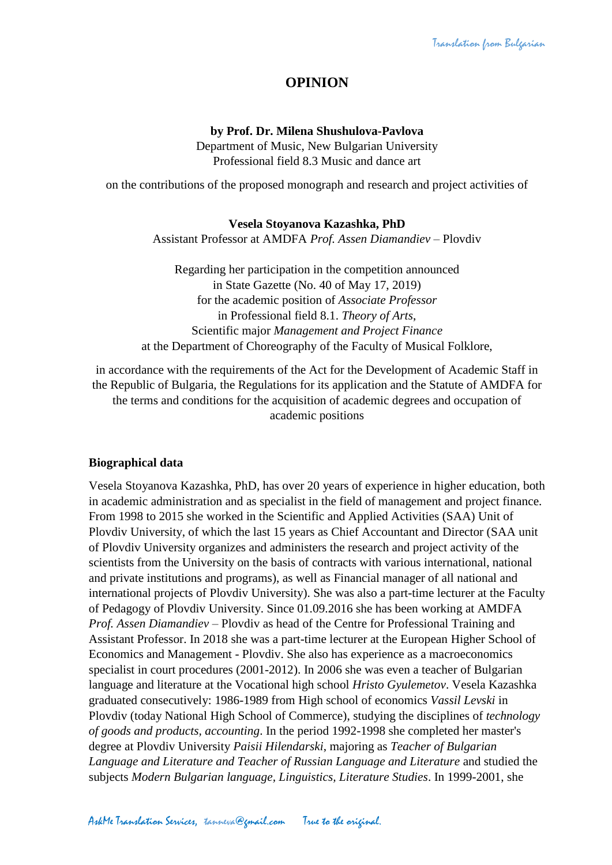# **OPINION**

#### **by Prof. Dr. Milena Shushulova-Pavlova**

Department of Music, New Bulgarian University Professional field 8.3 Music and dance art

on the contributions of the proposed monograph and research and project activities of

#### **Vesela Stoyanova Kazashka, PhD**

Assistant Professor at AMDFA *Prof. Assen Diamandiev* – Plovdiv

Regarding her participation in the competition announced in State Gazette (No. 40 of May 17, 2019) for the academic position of *Associate Professor* in Professional field 8.1. *Theory of Arts*, Scientific major *Management and Project Finance* at the Department of Choreography of the Faculty of Musical Folklore,

in accordance with the requirements of the Act for the Development of Academic Staff in the Republic of Bulgaria, the Regulations for its application and the Statute of AMDFA for the terms and conditions for the acquisition of academic degrees and occupation of academic positions

## **Biographical data**

Vesela Stoyanova Kazashka, PhD, has over 20 years of experience in higher education, both in academic administration and as specialist in the field of management and project finance. From 1998 to 2015 she worked in the Scientific and Applied Activities (SAA) Unit of Plovdiv University, of which the last 15 years as Chief Accountant and Director (SAA unit of Plovdiv University organizes and administers the research and project activity of the scientists from the University on the basis of contracts with various international, national and private institutions and programs), as well as Financial manager of all national and international projects of Plovdiv University). She was also a part-time lecturer at the Faculty of Pedagogy of Plovdiv University. Since 01.09.2016 she has been working at AMDFA *Prof. Assen Diamandiev* – Plovdiv as head of the Centre for Professional Training and Assistant Professor. In 2018 she was a part-time lecturer at the European Higher School of Economics and Management - Plovdiv. She also has experience as a macroeconomics specialist in court procedures (2001-2012). In 2006 she was even a teacher of Bulgarian language and literature at the Vocational high school *Hristo Gyulemetov*. Vesela Kazashka graduated consecutively: 1986-1989 from High school of economics *Vassil Levski* in Plovdiv (today National High School of Commerce), studying the disciplines of *technology of goods and products, accounting*. In the period 1992-1998 she completed her master's degree at Plovdiv University *Paisii Hilendarski*, majoring as *Teacher of Bulgarian Language and Literature and Teacher of Russian Language and Literature* and studied the subjects *Modern Bulgarian language, Linguistics, Literature Studies*. In 1999-2001, she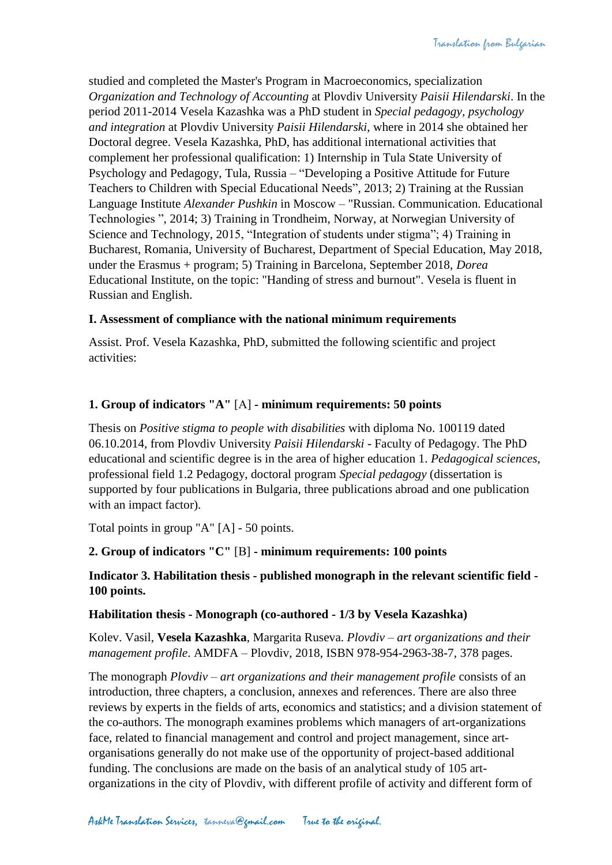studied and completed the Master's Program in Macroeconomics, specialization *Organization and Technology of Accounting* at Plovdiv University *Paisii Hilendarski*. In the period 2011-2014 Vesela Kazashka was a PhD student in *Special pedagogy, psychology and integration* at Plovdiv University *Paisii Hilendarski*, where in 2014 she obtained her Doctoral degree. Vesela Kazashka, PhD, has additional international activities that complement her professional qualification: 1) Internship in Tula State University of Psychology and Pedagogy, Tula, Russia – "Developing a Positive Attitude for Future Teachers to Children with Special Educational Needs", 2013; 2) Training at the Russian Language Institute *Alexander Pushkin* in Moscow – "Russian. Communication. Educational Technologies ", 2014; 3) Training in Trondheim, Norway, at Norwegian University of Science and Technology, 2015, "Integration of students under stigma"; 4) Training in Bucharest, Romania, University of Bucharest, Department of Special Education, May 2018, under the Erasmus + program; 5) Training in Barcelona, September 2018, *Dorea*  Educational Institute, on the topic: "Handing of stress and burnout". Vesela is fluent in Russian and English.

#### **I. Assessment of compliance with the national minimum requirements**

Assist. Prof. Vesela Kazashka, PhD, submitted the following scientific and project activities:

#### **1. Group of indicators "A"** [А] **- minimum requirements: 50 points**

Thesis on *Positive stigma to people with disabilities* with diploma No. 100119 dated 06.10.2014, from Plovdiv University *Paisii Hilendarski* - Faculty of Pedagogy. The PhD educational and scientific degree is in the area of higher education 1. *Pedagogical sciences*, professional field 1.2 Pedagogy, doctoral program *Special pedagogy* (dissertation is supported by four publications in Bulgaria, three publications abroad and one publication with an impact factor).

Total points in group "A" [А] - 50 points.

## **2. Group of indicators "C"** [В] **- minimum requirements: 100 points**

#### **Indicator 3. Habilitation thesis - published monograph in the relevant scientific field - 100 points.**

#### **Habilitation thesis - Monograph (co-authored - 1/3 by Vesela Kazashka)**

Kolev. Vasil, **Vesela Kazashka**, Margarita Ruseva. *Plovdiv – art organizations and their management profile*. AMDFA – Plovdiv, 2018, ISBN 978-954-2963-38-7, 378 pages.

The monograph *Plovdiv – art organizations and their management profile* consists of an introduction, three chapters, a conclusion, annexes and references. There are also three reviews by experts in the fields of arts, economics and statistics; and a division statement of the co-authors. The monograph examines problems which managers of art-organizations face, related to financial management and control and project management, since artorganisations generally do not make use of the opportunity of project-based additional funding. The conclusions are made on the basis of an analytical study of 105 artorganizations in the city of Plovdiv, with different profile of activity and different form of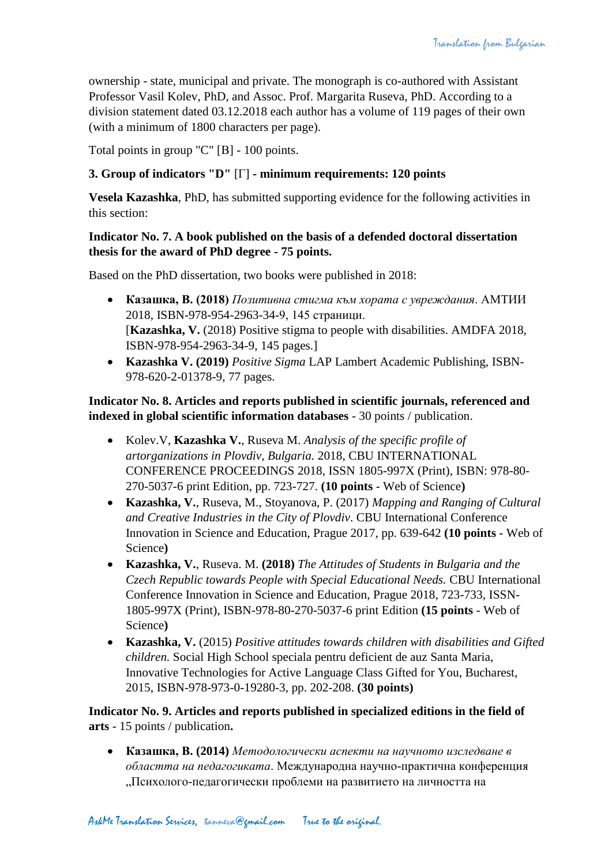ownership - state, municipal and private. The monograph is co-authored with Assistant Professor Vasil Kolev, PhD, and Assoc. Prof. Margarita Ruseva, PhD. According to a division statement dated 03.12.2018 each author has a volume of 119 pages of their own (with a minimum of 1800 characters per page).

Total points in group "C" [В] - 100 points.

# **3. Group of indicators "D"** [Г] **- minimum requirements: 120 points**

**Vesela Kazashka**, PhD, has submitted supporting evidence for the following activities in this section:

# **Indicator No. 7. A book published on the basis of a defended doctoral dissertation thesis for the award of PhD degree - 75 points.**

Based on the PhD dissertation, two books were published in 2018:

- **Казашка, В. (2018)** *Позитивна стигма към хората с увреждания*. АМТИИ 2018, ISBN-978-954-2963-34-9, 145 страници. [**Kazashka, V.** (2018) Positive stigma to people with disabilities. AMDFA 2018, ISBN-978-954-2963-34-9, 145 pages.]
- **Kazashka V. (2019)** *Positive Sigma* LAP Lambert Academic Publishing, ISBN-978-620-2-01378-9, 77 pages.

# **Indicator No. 8. Articles and reports published in scientific journals, referenced and indexed in global scientific information databases** - 30 points / publication.

- Kolev.V, **Kazashka V.**, Ruseva M. *Analysis of the specific profile of artorganizations in Plovdiv, Bulgaria.* 2018, CBU INTERNATIONAL CONFERENCE PROCEEDINGS 2018, ISSN 1805-997X (Print), ISBN: 978-80- 270-5037-6 print Edition, pp. 723-727. **(10 points** - Web of Science**)**
- **Kazashka, V.**, Ruseva, M., Stoyanova, P. (2017) *Mapping and Ranging of Cultural and Creative Industries in the City of Plovdiv*. CBU International Conference Innovation in Science and Education, Prague 2017, pp. 639-642 **(10 points** - Web of Science**)**
- **Kazashka, V.**, Ruseva. M. **(2018)** *The Attitudes of Students in Bulgaria and the Czech Republic towards People with Special Educational Needs.* CBU International Conference Innovation in Science and Education, Prague 2018, 723-733, ISSN-1805-997X (Print), ISBN-978-80-270-5037-6 print Edition **(15 points** - Web of Science**)**
- **Kazashka, V.** (2015) *Positive attitudes towards children with disabilities and Gifted children.* Social High School speciala pentru deficient de auz Santa Maria, Innovative Technologies for Active Language Class Gifted for You, Bucharest, 2015, ISBN-978-973-0-19280-3, pp. 202-208. **(30 points)**

**Indicator No. 9. Articles and reports published in specialized editions in the field of arts** - 15 points / publication**.**

 **Казашка, В. (2014)** *Методологически аспекти на научното изследване в областта на педагогиката*. Международна научно-практична конференция "Психолого-педагогически проблеми на развитието на личността на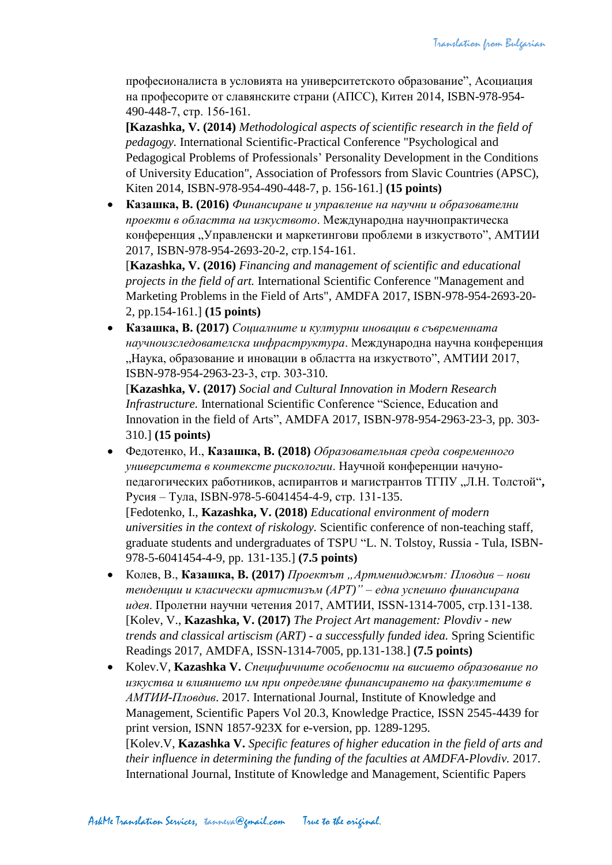професионалиста в условията на университетското образование", Асоциация на професорите от славянските страни (АПСС), Китен 2014, ISBN-978-954- 490-448-7, стр. 156-161.

**[Kazashka, V. (2014)** *Methodological aspects of scientific research in the field of pedagogy.* International Scientific-Practical Conference "Psychological and Pedagogical Problems of Professionals' Personality Development in the Conditions of University Education", Association of Professors from Slavic Countries (APSC), Kiten 2014, ISBN-978-954-490-448-7, p. 156-161.] **(15 points)**

 **Казашка, В. (2016)** *Финансиране и управление на научни и образователни проекти в областта на изкуството*. Международна научнопрактическа конференция "Управленски и маркетингови проблеми в изкуството", АМТИИ 2017, ISBN-978-954-2693-20-2, стр.154-161.

[**Kazashka, V. (2016)** *Financing and management of scientific and educational projects in the field of art.* International Scientific Conference "Management and Marketing Problems in the Field of Arts", AMDFA 2017, ISBN-978-954-2693-20- 2, pp.154-161.] **(15 points)**

 **Казашка, В. (2017)** *Социалните и културни иновации в съвременната научноизследователска инфраструктура*. Международна научна конференция "Наука, образование и иновации в областта на изкуството", АМТИИ 2017, ISBN-978-954-2963-23-3, стр. 303-310.

[**Kazashka, V. (2017)** *Social and Cultural Innovation in Modern Research Infrastructure.* International Scientific Conference "Science, Education and Innovation in the field of Arts", AMDFA 2017, ISBN-978-954-2963-23-3, pp. 303- 310.] **(15 points)**

 Федотенко, И., **Казашка, В. (2018)** *Образовательная среда современного университета в контексте рискологии*. Научной конференции начунопедагогических работников, аспирантов и магистрантов ТГПУ "Л.Н. Толстой"**,**  Русия – Тула, ISBN-978-5-6041454-4-9, стр. 131-135.

[Fedotenko, I., **Kazashka, V. (2018)** *Educational environment of modern universities in the context of riskology.* Scientific conference of non-teaching staff, graduate students and undergraduates of TSPU "L. N. Tolstoy, Russia - Tula, ISBN-978-5-6041454-4-9, pp. 131-135.] **(7.5 points)**

- Колев, В., **Казашка, В. (2017)** *Проектът "Артмениджмът: Пловдив – нови тенденции и класически артистизъм (АРТ)" – една успешно финансирана идея*. Пролетни научни четения 2017, АМТИИ, ISSN-1314-7005, стр.131-138. [Kolev, V., **Kazashka, V. (2017)** *The Project Art management: Plovdiv - new trends and classical artiscism (ART) - a successfully funded idea.* Spring Scientific Readings 2017, AMDFA, ISSN-1314-7005, pp.131-138.] **(7.5 points)**
- Kolev.V, **Kazashka V.** *Специфичните особености на висшето образование по изкуства и влиянието им при определяне финансирането на факултетите в АМТИИ-Пловдив*. 2017. International Journal, Institute of Knowledge and Management, Scientific Papers Vol 20.3, Knowledge Practice, ISSN 2545-4439 for print version, ISNN 1857-923X for e-version, pp. 1289-1295. [Kolev.V, **Kazashka V.** *Specific features of higher education in the field of arts and their influence in determining the funding of the faculties at AMDFA-Plovdiv.* 2017. International Journal, Institute of Knowledge and Management, Scientific Papers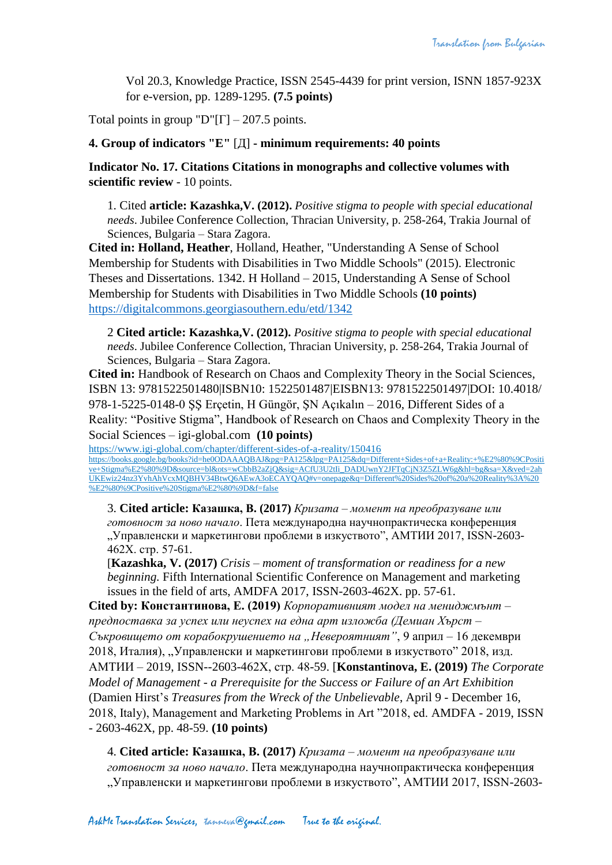Vol 20.3, Knowledge Practice, ISSN 2545-4439 for print version, ISNN 1857-923X for e-version, pp. 1289-1295. **(7.5 points)**

Total points in group "D" $[\Gamma]$  – 207.5 points.

#### **4. Group of indicators "E"** [Д] **- minimum requirements: 40 points**

**Indicator No. 17. Citations Citations in monographs and collective volumes with scientific review** - 10 points.

1. Cited **article: Kazashka,V. (2012).** *Positive stigma to people with special educational needs*. Jubilee Conference Collection, Thracian University, p. 258-264, Trakia Journal of Sciences, Bulgaria – Stara Zagora.

**Cited in: Holland, Heather**, Holland, Heather, "Understanding A Sense of School Membership for Students with Disabilities in Two Middle Schools" (2015). Electronic Theses and Dissertations. 1342. H Holland – 2015, Understanding A Sense of School Membership for Students with Disabilities in Two Middle Schools **(10 points)** <https://digitalcommons.georgiasouthern.edu/etd/1342>

2 **Cited article: Kazashka,V. (2012).** *Positive stigma to people with special educational needs*. Jubilee Conference Collection, Thracian University, p. 258-264, Trakia Journal of Sciences, Bulgaria – Stara Zagora.

**Cited in:** Handbook of Research on Chaos and Complexity Theory in the Social Sciences, ISBN 13: 9781522501480|ISBN10: 1522501487|EISBN13: 9781522501497|DOI: 10.4018/ 978-1-5225-0148-0 ŞŞ Erçetin, H Güngör, ŞN Açıkalın – 2016, Different Sides of a Reality: "Positive Stigma", Handbook of Research on Chaos and Complexity Theory in the Social Sciences – igi-global.com **(10 points)**

<https://www.igi-global.com/chapter/different-sides-of-a-reality/150416> [https://books.google.bg/books?id=he0ODAAAQBAJ&pg=PA125&lpg=PA125&dq=Different+Sides+of+a+Reality:+%E2%80%9CPositi](https://books.google.bg/books?id=he0ODAAAQBAJ&pg=PA125&lpg=PA125&dq=Different+Sides+of+a+Reality:+%E2%80%9CPositive+Stigma%E2%80%9D&source=bl&ots=wCbbB2aZjQ&sig=ACfU3U2tIi_DADUwnY2JFTqCjN3Z5ZLW6g&hl=bg&sa=X&ved=2ahUKEwiz24nz3YvhAhVcxMQBHV34BtwQ6AEwA3oECAYQAQ#v=onepage&q=Different%20Sides%20of%20a%20Reality%3A%20%E2%80%9CPositive%20Stigma%E2%80%9D&f=false) [ve+Stigma%E2%80%9D&source=bl&ots=wCbbB2aZjQ&sig=ACfU3U2tIi\\_DADUwnY2JFTqCjN3Z5ZLW6g&hl=bg&sa=X&ved=2ah](https://books.google.bg/books?id=he0ODAAAQBAJ&pg=PA125&lpg=PA125&dq=Different+Sides+of+a+Reality:+%E2%80%9CPositive+Stigma%E2%80%9D&source=bl&ots=wCbbB2aZjQ&sig=ACfU3U2tIi_DADUwnY2JFTqCjN3Z5ZLW6g&hl=bg&sa=X&ved=2ahUKEwiz24nz3YvhAhVcxMQBHV34BtwQ6AEwA3oECAYQAQ#v=onepage&q=Different%20Sides%20of%20a%20Reality%3A%20%E2%80%9CPositive%20Stigma%E2%80%9D&f=false) [UKEwiz24nz3YvhAhVcxMQBHV34BtwQ6AEwA3oECAYQAQ#v=onepage&q=Different%20Sides%20of%20a%20Reality%3A%20](https://books.google.bg/books?id=he0ODAAAQBAJ&pg=PA125&lpg=PA125&dq=Different+Sides+of+a+Reality:+%E2%80%9CPositive+Stigma%E2%80%9D&source=bl&ots=wCbbB2aZjQ&sig=ACfU3U2tIi_DADUwnY2JFTqCjN3Z5ZLW6g&hl=bg&sa=X&ved=2ahUKEwiz24nz3YvhAhVcxMQBHV34BtwQ6AEwA3oECAYQAQ#v=onepage&q=Different%20Sides%20of%20a%20Reality%3A%20%E2%80%9CPositive%20Stigma%E2%80%9D&f=false) [%E2%80%9CPositive%20Stigma%E2%80%9D&f=false](https://books.google.bg/books?id=he0ODAAAQBAJ&pg=PA125&lpg=PA125&dq=Different+Sides+of+a+Reality:+%E2%80%9CPositive+Stigma%E2%80%9D&source=bl&ots=wCbbB2aZjQ&sig=ACfU3U2tIi_DADUwnY2JFTqCjN3Z5ZLW6g&hl=bg&sa=X&ved=2ahUKEwiz24nz3YvhAhVcxMQBHV34BtwQ6AEwA3oECAYQAQ#v=onepage&q=Different%20Sides%20of%20a%20Reality%3A%20%E2%80%9CPositive%20Stigma%E2%80%9D&f=false)

3. **Cited article: Казашка, В. (2017)** *Кризата – момент на преобразуване или готовност за ново начало*. Пета международна научнопрактическа конференция "Управленски и маркетингови проблеми в изкуството", АМТИИ 2017, ISSN-2603-462X. стр. 57-61.

[**Kazashka, V. (2017)** *Crisis – moment of transformation or readiness for a new beginning.* Fifth International Scientific Conference on Management and marketing issues in the field of arts, AMDFA 2017, ISSN-2603-462X. pp. 57-61.

**Cited by: Константинова, Е. (2019)** *Корпоративният модел на мениджмънт – предпоставка за успех или неуспех на една арт изложба (Демиан Хърст – Съкровището от корабокрушението на "Невероятният"*, 9 април – 16 декември 2018, Италия), "Управленски и маркетингови проблеми в изкуството" 2018, изд. АМТИИ – 2019, ISSN--2603-462X, стр. 48-59. [**Konstantinova, E. (2019)** *The Corporate Model of Management - a Prerequisite for the Success or Failure of an Art Exhibition* (Damien Hirst's *Treasures from the Wreck of the Unbelievable*, April 9 - December 16, 2018, Italy), Management and Marketing Problems in Art "2018, ed. AMDFA - 2019, ISSN - 2603-462X, pp. 48-59. **(10 points)**

4. **Cited article: Казашка, В. (2017)** *Кризата – момент на преобразуване или готовност за ново начало*. Пета международна научнопрактическа конференция "Управленски и маркетингови проблеми в изкуството", АМТИИ 2017, ISSN-2603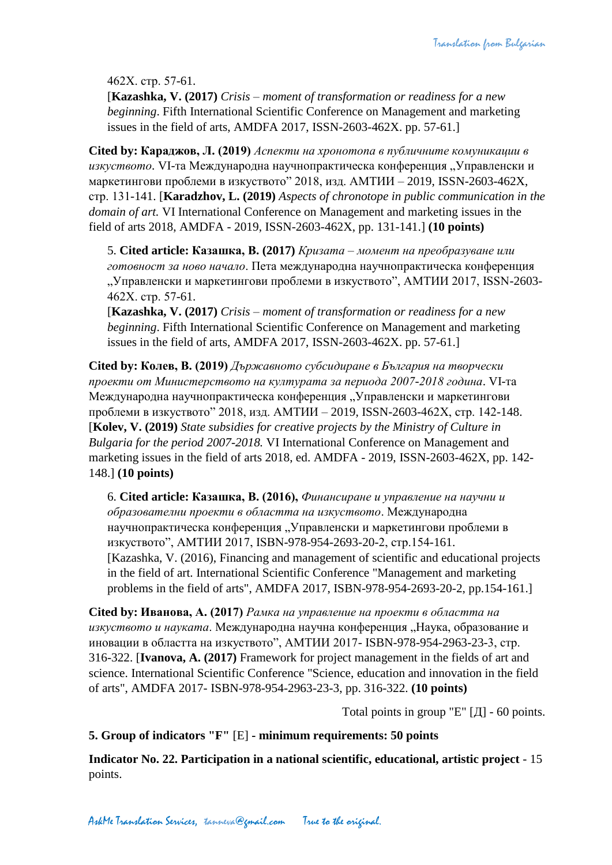462X. стр. 57-61.

[**Kazashka, V. (2017)** *Crisis – moment of transformation or readiness for a new beginning*. Fifth International Scientific Conference on Management and marketing issues in the field of arts, AMDFA 2017, ISSN-2603-462X. pp. 57-61.]

**Cited by: Караджов, Л. (2019)** *Аспекти на хронотопа в публичните комуникации в*  изкуството. VI-та Международна научнопрактическа конференция "Управленски и маркетингови проблеми в изкуството" 2018, изд. АМТИИ – 2019, ISSN-2603-462X, стр. 131-141. [**Karadzhov, L. (2019)** *Aspects of chronotope in public communication in the domain of art.* VI International Conference on Management and marketing issues in the field of arts 2018, AMDFA - 2019, ISSN-2603-462X, pp. 131-141.] **(10 points)**

5. **Cited article: Казашка, В. (2017)** *Кризата – момент на преобразуване или готовност за ново начало*. Пета международна научнопрактическа конференция "Управленски и маркетингови проблеми в изкуството", АМТИИ 2017, ISSN-2603-462X. стр. 57-61.

[**Kazashka, V. (2017)** *Crisis – moment of transformation or readiness for a new beginning*. Fifth International Scientific Conference on Management and marketing issues in the field of arts, AMDFA 2017, ISSN-2603-462X. pp. 57-61.]

**Cited by: Колев, В. (2019)** *Държавното субсидиране в България на творчески проекти от Министерството на културата за периода 2007-2018 година*. VI-та Международна научнопрактическа конференция "Управленски и маркетингови проблеми в изкуството" 2018, изд. АМТИИ – 2019, ISSN-2603-462X, стр. 142-148. [**Kolev, V. (2019)** *State subsidies for creative projects by the Ministry of Culture in Bulgaria for the period 2007-2018.* VI International Conference on Management and marketing issues in the field of arts 2018, ed. AMDFA - 2019, ISSN-2603-462X, pp. 142- 148.] **(10 points)**

6. **Cited article: Казашка, В. (2016),** *Финансиране и управление на научни и образователни проекти в областта на изкуството*. Международна научнопрактическа конференция "Управленски и маркетингови проблеми в изкуството", АМТИИ 2017, ISBN-978-954-2693-20-2, стр.154-161. [Kazashka, V. (2016), Financing and management of scientific and educational projects in the field of art. International Scientific Conference "Management and marketing problems in the field of arts", AMDFA 2017, ISBN-978-954-2693-20-2, pp.154-161.]

**Cited by: Иванова, А. (2017)** *Рамка на управление на проекти в областта на*  изкуството и науката. Международна научна конференция "Наука, образование и иновации в областта на изкуството", АМТИИ 2017- ISBN-978-954-2963-23-3, стр. 316-322. [**Ivanova, A. (2017)** Framework for project management in the fields of art and science. International Scientific Conference "Science, education and innovation in the field of arts", AMDFA 2017- ISBN-978-954-2963-23-3, pp. 316-322. **(10 points)**

Total points in group "E" [Д] - 60 points.

**5. Group of indicators "F"** [E] **- minimum requirements: 50 points**

**Indicator No. 22. Participation in a national scientific, educational, artistic project** - 15 points.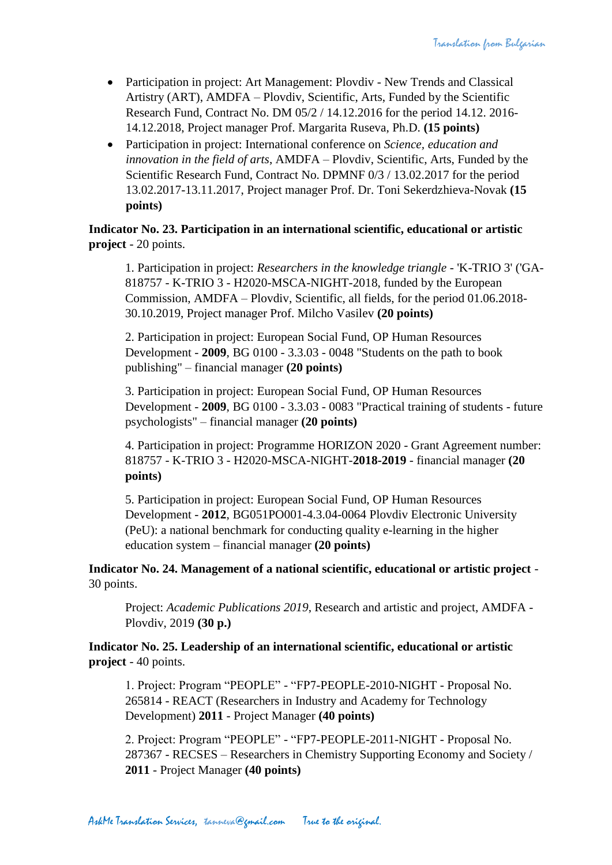- Participation in project: Art Management: Plovdiv New Trends and Classical Artistry (ART), AMDFA – Plovdiv, Scientific, Arts, Funded by the Scientific Research Fund, Contract No. DM 05/2 / 14.12.2016 for the period 14.12. 2016- 14.12.2018, Project manager Prof. Margarita Ruseva, Ph.D. **(15 points)**
- Participation in project: International conference on *Science, education and innovation in the field of arts*, AMDFA – Plovdiv, Scientific, Arts, Funded by the Scientific Research Fund, Contract No. DPMNF 0/3 / 13.02.2017 for the period 13.02.2017-13.11.2017, Project manager Prof. Dr. Toni Sekerdzhieva-Novak **(15 points)**

**Indicator No. 23. Participation in an international scientific, educational or artistic project** - 20 points.

1. Participation in project: *Researchers in the knowledge triangle* - 'K-TRIO 3' ('GA-818757 - K-TRIO 3 - H2020-MSCA-NIGHT-2018, funded by the European Commission, AMDFA – Plovdiv, Scientific, all fields, for the period 01.06.2018- 30.10.2019, Project manager Prof. Milcho Vasilev **(20 points)**

2. Participation in project: European Social Fund, OP Human Resources Development - **2009**, BG 0100 - 3.3.03 - 0048 "Students on the path to book publishing" – financial manager **(20 points)**

3. Participation in project: European Social Fund, OP Human Resources Development - **2009**, BG 0100 - 3.3.03 - 0083 "Practical training of students - future psychologists" – financial manager **(20 points)**

4. Participation in project: Programme HORIZON 2020 - Grant Agreement number: 818757 - K-TRIO 3 - H2020-MSCA-NIGHT-**2018-2019** - financial manager **(20 points)**

5. Participation in project: European Social Fund, OP Human Resources Development - **2012**, BG051PO001-4.3.04-0064 Plovdiv Electronic University (PeU): a national benchmark for conducting quality e-learning in the higher education system – financial manager **(20 points)**

**Indicator No. 24. Management of a national scientific, educational or artistic project** - 30 points.

Project: *Academic Publications 2019*, Research and artistic and project, AMDFA - Plovdiv, 2019 **(30 p.)**

**Indicator No. 25. Leadership of an international scientific, educational or artistic project** - 40 points.

1. Project: Program "PEOPLE" - "FP7-PEOPLE-2010-NIGHT - Proposal No. 265814 - REACT (Researchers in Industry and Academy for Technology Development) **2011** - Project Manager **(40 points)**

2. Project: Program "PEOPLE" - "FP7-PEOPLE-2011-NIGHT - Proposal No. 287367 - RECSES – Researchers in Chemistry Supporting Economy and Society / **2011** - Project Manager **(40 points)**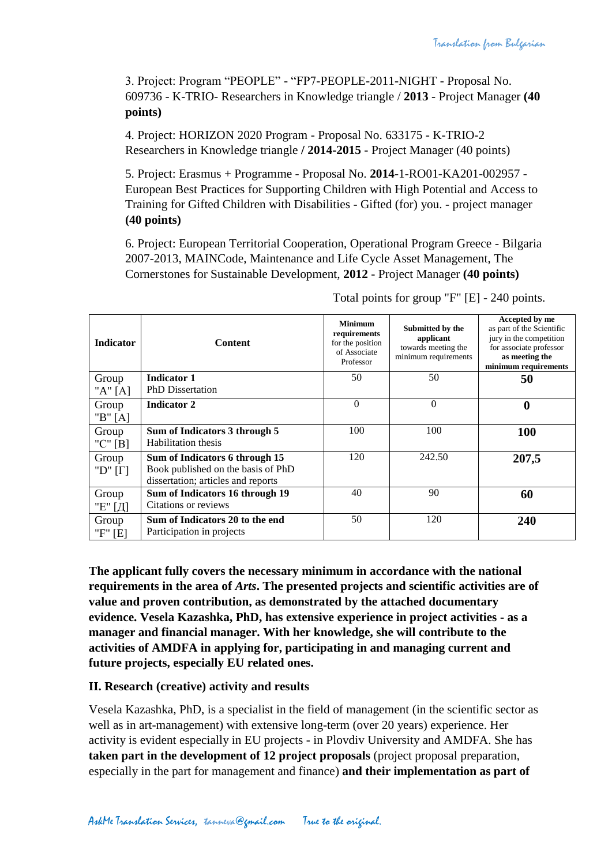3. Project: Program "PEOPLE" - "FP7-PEOPLE-2011-NIGHT - Proposal No. 609736 - K-TRIO- Researchers in Knowledge triangle / **2013** - Project Manager **(40 points)**

4. Project: HORIZON 2020 Program - Proposal No. 633175 - K-TRIO-2 Researchers in Knowledge triangle **/ 2014-2015** - Project Manager (40 points)

5. Project: Erasmus + Programme - Proposal No. **2014**-1-RO01-KA201-002957 - European Best Practices for Supporting Children with High Potential and Access to Training for Gifted Children with Disabilities - Gifted (for) you. - project manager **(40 points)**

6. Project: European Territorial Cooperation, Operational Program Greece - Bilgaria 2007-2013, MAINCode, Maintenance and Life Cycle Asset Management, The Cornerstones for Sustainable Development, **2012** - Project Manager **(40 points)**

| <b>Indicator</b>        | <b>Content</b>                                                                                             | <b>Minimum</b><br>requirements<br>for the position<br>of Associate<br>Professor | Submitted by the<br>applicant<br>towards meeting the<br>minimum requirements | Accepted by me<br>as part of the Scientific<br>jury in the competition<br>for associate professor<br>as meeting the<br>minimum requirements |
|-------------------------|------------------------------------------------------------------------------------------------------------|---------------------------------------------------------------------------------|------------------------------------------------------------------------------|---------------------------------------------------------------------------------------------------------------------------------------------|
| Group<br>" $A$ " $[A]$  | <b>Indicator 1</b><br><b>PhD</b> Dissertation                                                              | 50                                                                              | 50                                                                           | 50                                                                                                                                          |
| Group<br>" $B$ " [A]    | <b>Indicator 2</b>                                                                                         | $\overline{0}$                                                                  | $\theta$                                                                     | $\boldsymbol{0}$                                                                                                                            |
| Group<br>"C" $[B]$      | Sum of Indicators 3 through 5<br>Habilitation thesis                                                       | 100                                                                             | 100                                                                          | 100                                                                                                                                         |
| Group<br>"D" $[\Gamma]$ | Sum of Indicators 6 through 15<br>Book published on the basis of PhD<br>dissertation; articles and reports | 120                                                                             | 242.50                                                                       | 207,5                                                                                                                                       |
| Group<br>"Е" [Д]        | Sum of Indicators 16 through 19<br>Citations or reviews                                                    | 40                                                                              | 90                                                                           | 60                                                                                                                                          |
| Group<br>"F" [E]        | Sum of Indicators 20 to the end<br>Participation in projects                                               | 50                                                                              | 120                                                                          | 240                                                                                                                                         |

Total points for group "F" [E] - 240 points.

**The applicant fully covers the necessary minimum in accordance with the national requirements in the area of** *Arts***. The presented projects and scientific activities are of value and proven contribution, as demonstrated by the attached documentary evidence. Vesela Kazashka, PhD, has extensive experience in project activities - as a manager and financial manager. With her knowledge, she will contribute to the activities of AMDFA in applying for, participating in and managing current and future projects, especially EU related ones.**

## **II. Research (creative) activity and results**

Vesela Kazashka, PhD, is a specialist in the field of management (in the scientific sector as well as in art-management) with extensive long-term (over 20 years) experience. Her activity is evident especially in EU projects - in Plovdiv University and AMDFA. She has **taken part in the development of 12 project proposals** (project proposal preparation, especially in the part for management and finance) **and their implementation as part of**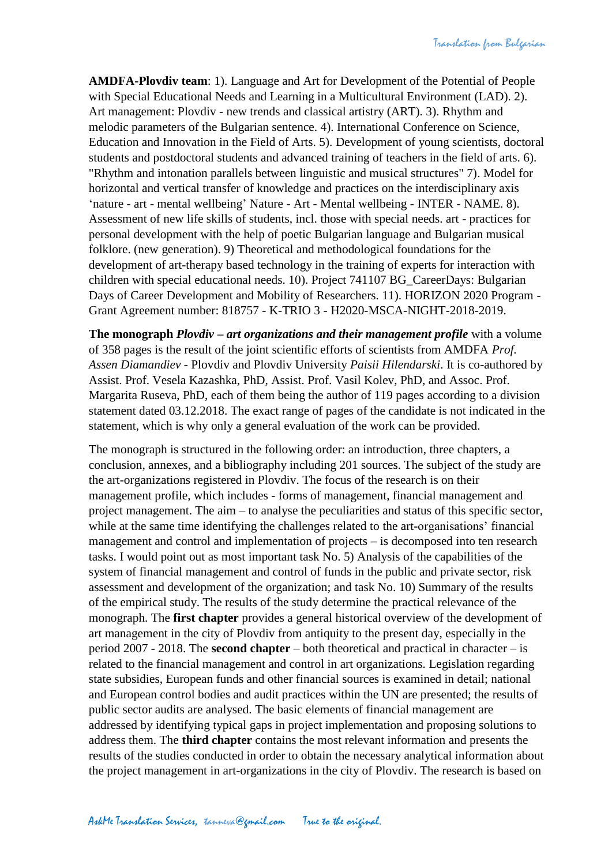**AMDFA-Plovdiv team**: 1). Language and Art for Development of the Potential of People with Special Educational Needs and Learning in a Multicultural Environment (LAD). 2). Art management: Plovdiv - new trends and classical artistry (ART). 3). Rhythm and melodic parameters of the Bulgarian sentence. 4). International Conference on Science, Education and Innovation in the Field of Arts. 5). Development of young scientists, doctoral students and postdoctoral students and advanced training of teachers in the field of arts. 6). "Rhythm and intonation parallels between linguistic and musical structures" 7). Model for horizontal and vertical transfer of knowledge and practices on the interdisciplinary axis 'nature - art - mental wellbeing' Nature - Art - Mental wellbeing - INTER - NAME. 8). Assessment of new life skills of students, incl. those with special needs. art - practices for personal development with the help of poetic Bulgarian language and Bulgarian musical folklore. (new generation). 9) Theoretical and methodological foundations for the development of art-therapy based technology in the training of experts for interaction with children with special educational needs. 10). Project 741107 BG\_CareerDays: Bulgarian Days of Career Development and Mobility of Researchers. 11). HORIZON 2020 Program - Grant Agreement number: 818757 - K-TRIO 3 - H2020-MSCA-NIGHT-2018-2019.

**The monograph** *Plovdiv – art organizations and their management profile* with a volume of 358 pages is the result of the joint scientific efforts of scientists from AMDFA *Prof. Assen Diamandiev* - Plovdiv and Plovdiv University *Paisii Hilendarski*. It is co-authored by Assist. Prof. Vesela Kazashka, PhD, Assist. Prof. Vasil Kolev, PhD, and Assoc. Prof. Margarita Ruseva, PhD, each of them being the author of 119 pages according to a division statement dated 03.12.2018. The exact range of pages of the candidate is not indicated in the statement, which is why only a general evaluation of the work can be provided.

The monograph is structured in the following order: an introduction, three chapters, a conclusion, annexes, and a bibliography including 201 sources. The subject of the study are the art-organizations registered in Plovdiv. The focus of the research is on their management profile, which includes - forms of management, financial management and project management. The aim – to analyse the peculiarities and status of this specific sector, while at the same time identifying the challenges related to the art-organisations' financial management and control and implementation of projects – is decomposed into ten research tasks. I would point out as most important task No. 5) Analysis of the capabilities of the system of financial management and control of funds in the public and private sector, risk assessment and development of the organization; and task No. 10) Summary of the results of the empirical study. The results of the study determine the practical relevance of the monograph. The **first chapter** provides a general historical overview of the development of art management in the city of Plovdiv from antiquity to the present day, especially in the period 2007 - 2018. The **second chapter** – both theoretical and practical in character – is related to the financial management and control in art organizations. Legislation regarding state subsidies, European funds and other financial sources is examined in detail; national and European control bodies and audit practices within the UN are presented; the results of public sector audits are analysed. The basic elements of financial management are addressed by identifying typical gaps in project implementation and proposing solutions to address them. The **third chapter** contains the most relevant information and presents the results of the studies conducted in order to obtain the necessary analytical information about the project management in art-organizations in the city of Plovdiv. The research is based on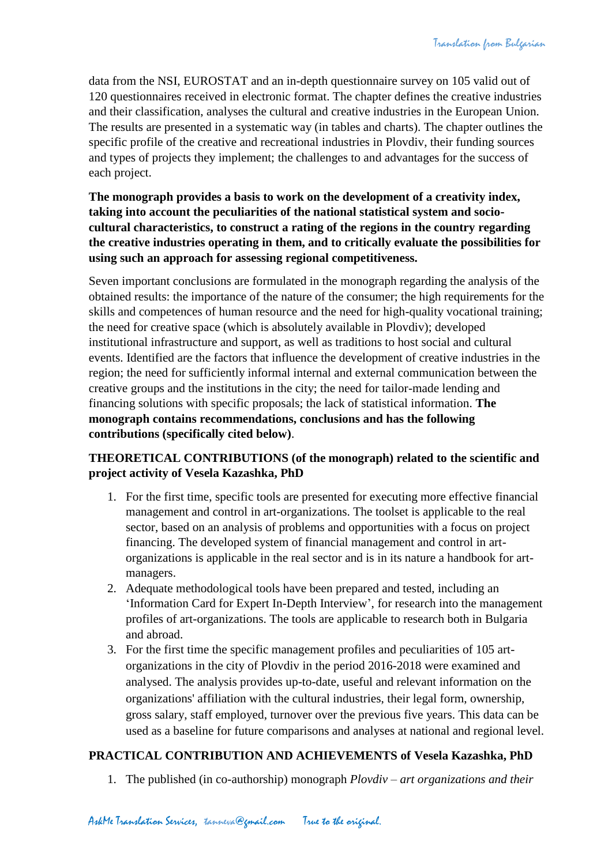data from the NSI, EUROSTAT and an in-depth questionnaire survey on 105 valid out of 120 questionnaires received in electronic format. The chapter defines the creative industries and their classification, analyses the cultural and creative industries in the European Union. The results are presented in a systematic way (in tables and charts). The chapter outlines the specific profile of the creative and recreational industries in Plovdiv, their funding sources and types of projects they implement; the challenges to and advantages for the success of each project.

**The monograph provides a basis to work on the development of a creativity index, taking into account the peculiarities of the national statistical system and sociocultural characteristics, to construct a rating of the regions in the country regarding the creative industries operating in them, and to critically evaluate the possibilities for using such an approach for assessing regional competitiveness.**

Seven important conclusions are formulated in the monograph regarding the analysis of the obtained results: the importance of the nature of the consumer; the high requirements for the skills and competences of human resource and the need for high-quality vocational training; the need for creative space (which is absolutely available in Plovdiv); developed institutional infrastructure and support, as well as traditions to host social and cultural events. Identified are the factors that influence the development of creative industries in the region; the need for sufficiently informal internal and external communication between the creative groups and the institutions in the city; the need for tailor-made lending and financing solutions with specific proposals; the lack of statistical information. **The monograph contains recommendations, conclusions and has the following contributions (specifically cited below)**.

# **THEORETICAL CONTRIBUTIONS (of the monograph) related to the scientific and project activity of Vesela Kazashka, PhD**

- 1. For the first time, specific tools are presented for executing more effective financial management and control in art-organizations. The toolset is applicable to the real sector, based on an analysis of problems and opportunities with a focus on project financing. The developed system of financial management and control in artorganizations is applicable in the real sector and is in its nature a handbook for artmanagers.
- 2. Adequate methodological tools have been prepared and tested, including an 'Information Card for Expert In-Depth Interview', for research into the management profiles of art-organizations. The tools are applicable to research both in Bulgaria and abroad.
- 3. For the first time the specific management profiles and peculiarities of 105 artorganizations in the city of Plovdiv in the period 2016-2018 were examined and analysed. The analysis provides up-to-date, useful and relevant information on the organizations' affiliation with the cultural industries, their legal form, ownership, gross salary, staff employed, turnover over the previous five years. This data can be used as a baseline for future comparisons and analyses at national and regional level.

## **PRACTICAL CONTRIBUTION AND ACHIEVEMENTS of Vesela Kazashka, PhD**

1. The published (in co-authorship) monograph *Plovdiv – art organizations and their*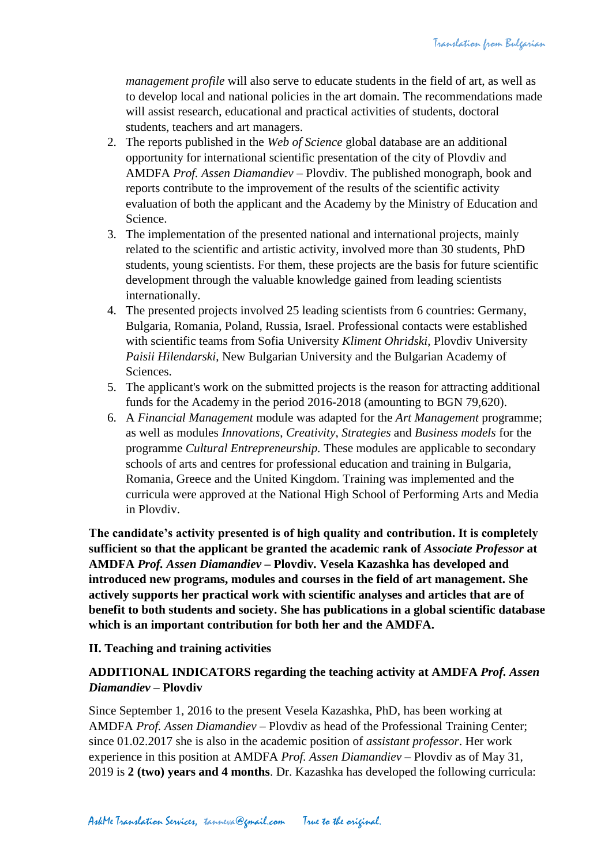*management profile* will also serve to educate students in the field of art, as well as to develop local and national policies in the art domain. The recommendations made will assist research, educational and practical activities of students, doctoral students, teachers and art managers.

- 2. The reports published in the *Web of Science* global database are an additional opportunity for international scientific presentation of the city of Plovdiv and AMDFA *Prof. Assen Diamandiev* – Plovdiv. The published monograph, book and reports contribute to the improvement of the results of the scientific activity evaluation of both the applicant and the Academy by the Ministry of Education and Science.
- 3. The implementation of the presented national and international projects, mainly related to the scientific and artistic activity, involved more than 30 students, PhD students, young scientists. For them, these projects are the basis for future scientific development through the valuable knowledge gained from leading scientists internationally.
- 4. The presented projects involved 25 leading scientists from 6 countries: Germany, Bulgaria, Romania, Poland, Russia, Israel. Professional contacts were established with scientific teams from Sofia University *Kliment Ohridski*, Plovdiv University *Paisii Hilendarski*, New Bulgarian University and the Bulgarian Academy of Sciences.
- 5. The applicant's work on the submitted projects is the reason for attracting additional funds for the Academy in the period 2016-2018 (amounting to BGN 79,620).
- 6. A *Financial Management* module was adapted for the *Art Management* programme; as well as modules *Innovations*, *Creativity*, *Strategies* and *Business models* for the programme *Cultural Entrepreneurship.* These modules are applicable to secondary schools of arts and centres for professional education and training in Bulgaria, Romania, Greece and the United Kingdom. Training was implemented and the curricula were approved at the National High School of Performing Arts and Media in Plovdiv.

**The candidate's activity presented is of high quality and contribution. It is completely sufficient so that the applicant be granted the academic rank of** *Associate Professor* **at AMDFA** *Prof. Assen Diamandiev* **– Plovdiv. Vesela Kazashka has developed and introduced new programs, modules and courses in the field of art management. She actively supports her practical work with scientific analyses and articles that are of benefit to both students and society. She has publications in a global scientific database which is an important contribution for both her and the AMDFA.**

## **II. Teaching and training activities**

## **ADDITIONAL INDICATORS regarding the teaching activity at AMDFA** *Prof. Assen Diamandiev* **– Plovdiv**

Since September 1, 2016 to the present Vesela Kazashka, PhD, has been working at AMDFA *Prof. Assen Diamandiev* – Plovdiv as head of the Professional Training Center; since 01.02.2017 she is also in the academic position of *assistant professor*. Her work experience in this position at AMDFA *Prof. Assen Diamandiev* – Plovdiv as of May 31, 2019 is **2 (two) years and 4 months**. Dr. Kazashka has developed the following curricula: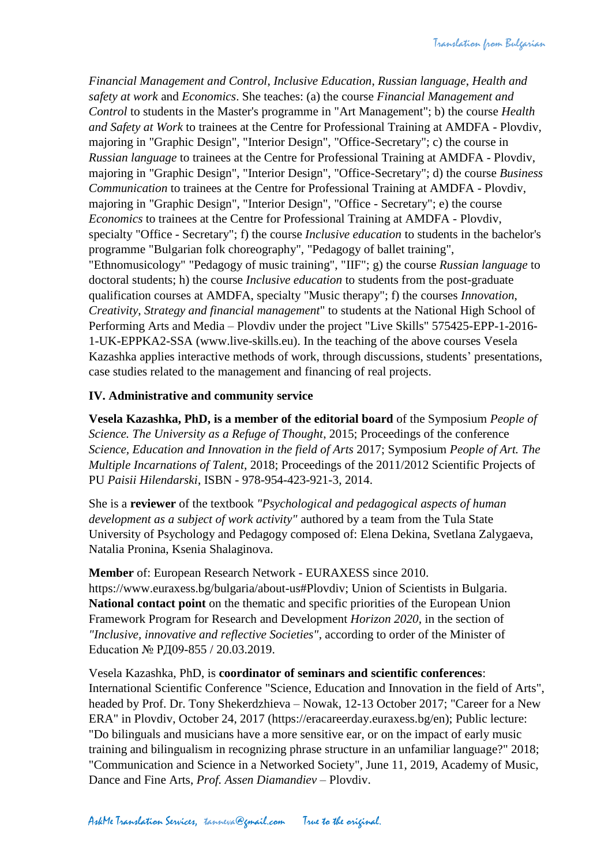*Financial Management and Control*, *Inclusive Education*, *Russian language*, *Health and safety at work* and *Economics*. She teaches: (a) the course *Financial Management and Control* to students in the Master's programme in "Art Management"; b) the course *Health and Safety at Work* to trainees at the Centre for Professional Training at AMDFA - Plovdiv, majoring in "Graphic Design", "Interior Design", "Office-Secretary"; c) the course in *Russian language* to trainees at the Centre for Professional Training at AMDFA - Plovdiv, majoring in "Graphic Design", "Interior Design", "Office-Secretary"; d) the course *Business Communication* to trainees at the Centre for Professional Training at AMDFA - Plovdiv, majoring in "Graphic Design", "Interior Design", "Office - Secretary"; e) the course *Economics* to trainees at the Centre for Professional Training at AMDFA - Plovdiv, specialty "Office - Secretary"; f) the course *Inclusive education* to students in the bachelor's programme "Bulgarian folk choreography", "Pedagogy of ballet training", "Ethnomusicology" "Pedagogy of music training", "IIF"; g) the course *Russian language* to doctoral students; h) the course *Inclusive education* to students from the post-graduate qualification courses at AMDFA, specialty "Music therapy"; f) the courses *Innovation*, *Creativity*, *Strategy and financial management*" to students at the National High School of Performing Arts and Media – Plovdiv under the project "Live Skills" 575425-EPP-1-2016- 1-UK-EPPKA2-SSA (www.live-skills.eu). In the teaching of the above courses Vesela Kazashka applies interactive methods of work, through discussions, students' presentations, case studies related to the management and financing of real projects.

## **IV. Administrative and community service**

**Vesela Kazashka, PhD, is a member of the editorial board** of the Symposium *People of Science. The University as a Refuge of Thought*, 2015; Proceedings of the conference *Science, Education and Innovation in the field of Arts* 2017; Symposium *People of Art. The Multiple Incarnations of Talent*, 2018; Proceedings of the 2011/2012 Scientific Projects of PU *Paisii Hilendarski*, ISBN - 978-954-423-921-3, 2014.

She is a **reviewer** of the textbook *"Psychological and pedagogical aspects of human development as a subject of work activity"* authored by a team from the Tula State University of Psychology and Pedagogy composed of: Elena Dekina, Svetlana Zalygaeva, Natalia Pronina, Ksenia Shalaginova.

**Member** of: European Research Network - EURAXESS since 2010. https://www.euraxess.bg/bulgaria/about-us#Plovdiv; Union of Scientists in Bulgaria. **National contact point** on the thematic and specific priorities of the European Union Framework Program for Research and Development *Horizon 2020*, in the section of *"Inclusive, innovative and reflective Societies"*, according to order of the Minister of Education № РД09-855 / 20.03.2019.

Vesela Kazashka, PhD, is **coordinator of seminars and scientific conferences**: International Scientific Conference "Science, Education and Innovation in the field of Arts", headed by Prof. Dr. Tony Shekerdzhieva – Nowak, 12-13 October 2017; "Career for a New ERA" in Plovdiv, October 24, 2017 (https://eracareerday.euraxess.bg/en); Public lecture: "Do bilinguals and musicians have a more sensitive ear, or on the impact of early music training and bilingualism in recognizing phrase structure in an unfamiliar language?" 2018; "Communication and Science in a Networked Society", June 11, 2019, Academy of Music, Dance and Fine Arts, *Prof. Assen Diamandiev* – Plovdiv.